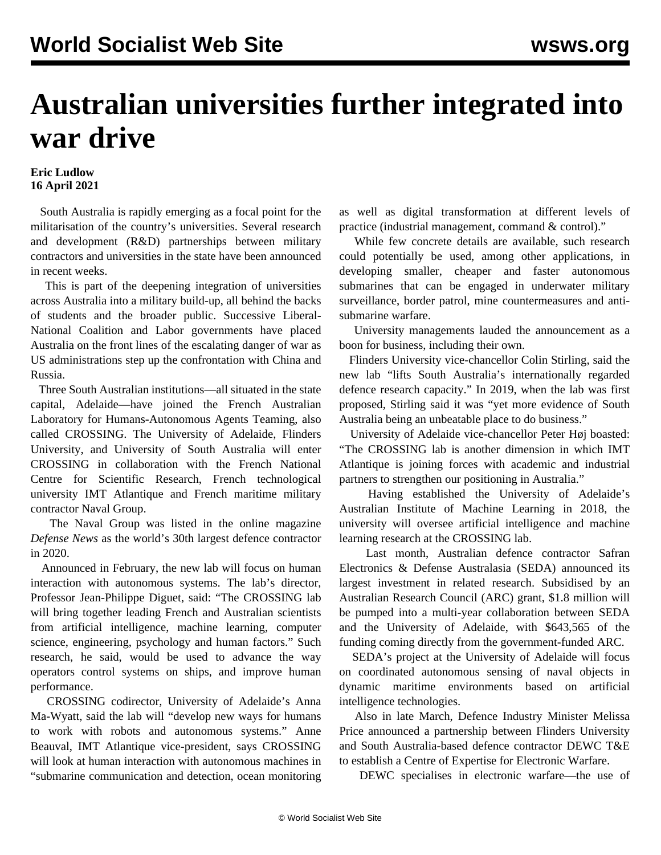## **Australian universities further integrated into war drive**

## **Eric Ludlow 16 April 2021**

 South Australia is rapidly emerging as a focal point for the militarisation of the country's universities. Several research and development (R&D) partnerships between military contractors and universities in the state have been announced in recent weeks.

 This is part of the deepening integration of universities across Australia into a military build-up, all behind the backs of students and the broader public. Successive Liberal-National Coalition and Labor governments have placed Australia on the front lines of the escalating danger of war as US administrations step up the confrontation with China and Russia.

 Three South Australian institutions—all situated in the state capital, Adelaide—have joined the French Australian Laboratory for Humans-Autonomous Agents Teaming, also called CROSSING. The University of Adelaide, Flinders University, and University of South Australia will enter CROSSING in collaboration with the French National Centre for Scientific Research, French technological university IMT Atlantique and French maritime military contractor Naval Group.

 The Naval Group was listed in the online magazine *Defense News* as the world's 30th largest defence contractor in 2020.

 Announced in February, the new lab will focus on human interaction with autonomous systems. The lab's director, Professor Jean-Philippe Diguet, said: "The CROSSING lab will bring together leading French and Australian scientists from artificial intelligence, machine learning, computer science, engineering, psychology and human factors." Such research, he said, would be used to advance the way operators control systems on ships, and improve human performance.

 CROSSING codirector, University of Adelaide's Anna Ma-Wyatt, said the lab will "develop new ways for humans to work with robots and autonomous systems." Anne Beauval, IMT Atlantique vice-president, says CROSSING will look at human interaction with autonomous machines in "submarine communication and detection, ocean monitoring as well as digital transformation at different levels of practice (industrial management, command & control)."

 While few concrete details are available, such research could potentially be used, among other applications, in developing smaller, cheaper and faster autonomous submarines that can be engaged in underwater military surveillance, border patrol, mine countermeasures and antisubmarine warfare.

 University managements lauded the announcement as a boon for business, including their own.

 Flinders University vice-chancellor Colin Stirling, said the new lab "lifts South Australia's internationally regarded defence research capacity." In 2019, when the lab was first proposed, Stirling said it was "yet more evidence of South Australia being an unbeatable place to do business."

 University of Adelaide vice-chancellor Peter Høj boasted: "The CROSSING lab is another dimension in which IMT Atlantique is joining forces with academic and industrial partners to strengthen our positioning in Australia."

 Having established the [University of Adelaide's](/en/articles/2018/12/31/univ-d31.html) [Australian Institute of Machine Learning](/en/articles/2018/12/31/univ-d31.html) in 2018, the university will oversee artificial intelligence and machine learning research at the CROSSING lab.

 Last month, Australian defence contractor Safran Electronics & Defense Australasia (SEDA) announced its largest investment in related research. Subsidised by an Australian Research Council (ARC) grant, \$1.8 million will be pumped into a multi-year collaboration between SEDA and the University of Adelaide, with \$643,565 of the funding coming directly from the government-funded ARC.

 SEDA's project at the University of Adelaide will focus on coordinated autonomous sensing of naval objects in dynamic maritime environments based on artificial intelligence technologies.

 Also in late March, Defence Industry Minister Melissa Price announced a partnership between Flinders University and South Australia-based defence contractor DEWC T&E to establish a Centre of Expertise for Electronic Warfare.

DEWC specialises in electronic warfare—the use of